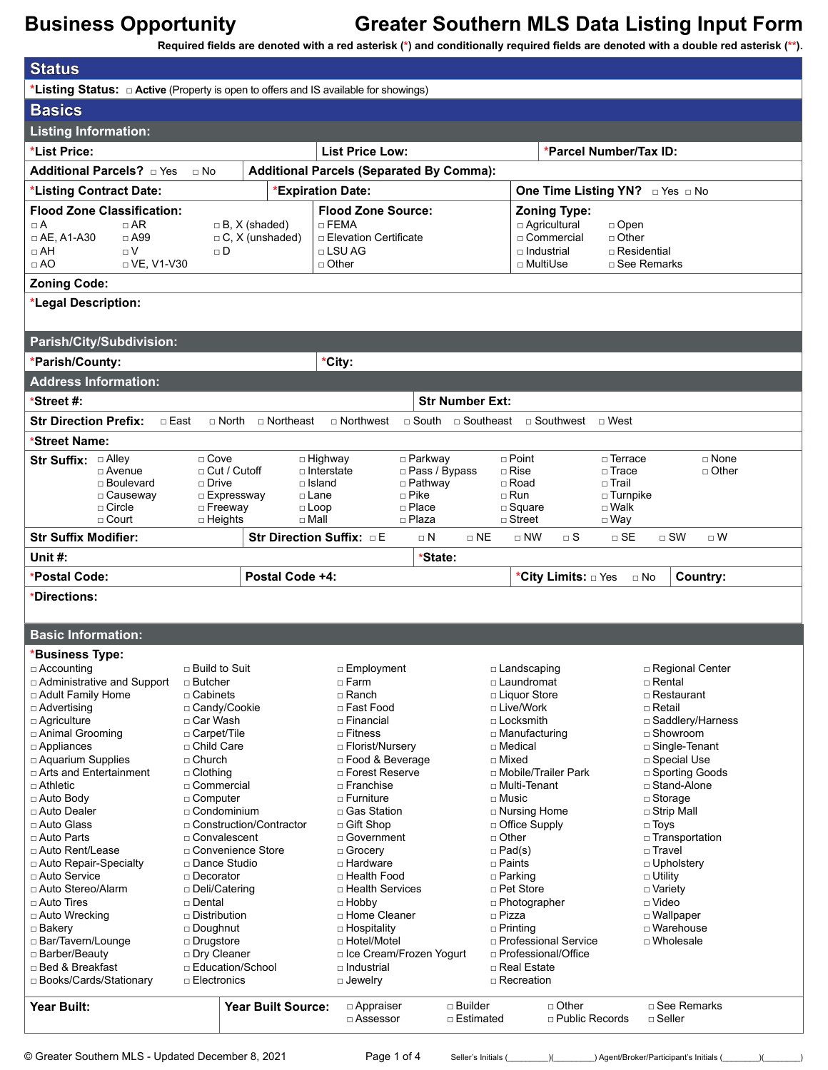**Required fields are denoted with a red asterisk (\*) and conditionally required fields are denoted with a double red asterisk (\*\*).**

| <b>Status</b>                                                                                                                                      |                                                              |                               |                                                                                                 |                                                            |                                                                                                                                  |  |  |
|----------------------------------------------------------------------------------------------------------------------------------------------------|--------------------------------------------------------------|-------------------------------|-------------------------------------------------------------------------------------------------|------------------------------------------------------------|----------------------------------------------------------------------------------------------------------------------------------|--|--|
| <b>*Listing Status:</b> $\Box$ Active (Property is open to offers and IS available for showings)                                                   |                                                              |                               |                                                                                                 |                                                            |                                                                                                                                  |  |  |
| <b>Basics</b>                                                                                                                                      |                                                              |                               |                                                                                                 |                                                            |                                                                                                                                  |  |  |
| <b>Listing Information:</b>                                                                                                                        |                                                              |                               |                                                                                                 |                                                            |                                                                                                                                  |  |  |
| *List Price:                                                                                                                                       |                                                              |                               | <b>List Price Low:</b>                                                                          |                                                            | *Parcel Number/Tax ID:                                                                                                           |  |  |
| Additional Parcels? <b>Diden</b>                                                                                                                   |                                                              |                               |                                                                                                 |                                                            |                                                                                                                                  |  |  |
|                                                                                                                                                    | <b>Additional Parcels (Separated By Comma):</b><br>$\Box$ No |                               |                                                                                                 |                                                            |                                                                                                                                  |  |  |
| *Listing Contract Date:                                                                                                                            | *Expiration Date:                                            |                               |                                                                                                 |                                                            | One Time Listing YN? DYes DNo                                                                                                    |  |  |
| <b>Flood Zone Classification:</b><br>$\Box$ AR<br>□A<br>$\Box$ AE, A1-A30<br>$\Box$ A99<br>$\Box$ AH<br>$\Box V$<br>$\Box$ AO<br>$\Box$ VE, V1-V30 | $\Box$ B, X (shaded)<br>$\Box$ C, X (unshaded)<br>$\sqcap$ D |                               | <b>Flood Zone Source:</b><br>$\Box$ FEMA<br>□ Elevation Certificate<br>□ LSU AG<br>$\Box$ Other | $\Box$ Industrial<br>□ MultiUse                            | <b>Zoning Type:</b><br>$\Box$ Agricultural<br>$\Box$ Open<br>□ Commercial<br>$\Box$ Other<br>$\Box$ Residential<br>□ See Remarks |  |  |
| <b>Zoning Code:</b>                                                                                                                                |                                                              |                               |                                                                                                 |                                                            |                                                                                                                                  |  |  |
| *Legal Description:                                                                                                                                |                                                              |                               |                                                                                                 |                                                            |                                                                                                                                  |  |  |
|                                                                                                                                                    |                                                              |                               |                                                                                                 |                                                            |                                                                                                                                  |  |  |
| Parish/City/Subdivision:                                                                                                                           |                                                              |                               |                                                                                                 |                                                            |                                                                                                                                  |  |  |
| *Parish/County:                                                                                                                                    |                                                              |                               | *City:                                                                                          |                                                            |                                                                                                                                  |  |  |
| <b>Address Information:</b>                                                                                                                        |                                                              |                               |                                                                                                 |                                                            |                                                                                                                                  |  |  |
| *Street #:                                                                                                                                         |                                                              |                               | <b>Str Number Ext:</b>                                                                          |                                                            |                                                                                                                                  |  |  |
| <b>Str Direction Prefix:</b><br>$\Box$ East                                                                                                        |                                                              | $\Box$ North $\Box$ Northeast | $\Box$ Northwest                                                                                | $\Box$ South $\Box$ Southeast $\Box$ Southwest $\Box$ West |                                                                                                                                  |  |  |
| *Street Name:                                                                                                                                      |                                                              |                               |                                                                                                 |                                                            |                                                                                                                                  |  |  |
| Str Suffix: Alley                                                                                                                                  | $\Box$ Cove                                                  | $\Box$ Highway                | □ Parkway                                                                                       | $\Box$ Point                                               | □ Terrace<br>$\square$ None                                                                                                      |  |  |
| $\Box$ Avenue                                                                                                                                      | $\Box$ Cut / Cutoff                                          | $\Box$ Interstate             | □ Pass / Bypass                                                                                 | $\Box$ Rise                                                | $\Box$ Trace<br>$\Box$ Other                                                                                                     |  |  |
| □ Boulevard<br>□ Causeway                                                                                                                          | $\Box$ Drive<br>□ Expressway                                 | $\Box$ Island<br>□ Lane       | $\Box$ Pathway<br>$\Box$ Pike                                                                   | □ Road<br>$\Box$ Run                                       | □ Trail<br>$\Box$ Turnpike                                                                                                       |  |  |
| $\Box$ Circle                                                                                                                                      | $\Box$ Freeway                                               | $\Box$ Loop                   | □ Place                                                                                         | $\square$ Square                                           | $\square$ Walk                                                                                                                   |  |  |
| □ Court                                                                                                                                            | $\Box$ Heights                                               | $\Box$ Mall                   | □ Plaza                                                                                         | $\Box$ Street                                              | $\Box$ Way                                                                                                                       |  |  |
| <b>Str Suffix Modifier:</b>                                                                                                                        |                                                              | Str Direction Suffix: DE      | $\Box$ N<br>$\Box$ NE                                                                           | $\sqcap$ NW<br>$\Box$ S                                    | $\Box$ SW<br>$\Box$ SE<br>$\Box$ W                                                                                               |  |  |
| Unit $#$ :                                                                                                                                         |                                                              |                               |                                                                                                 |                                                            |                                                                                                                                  |  |  |
|                                                                                                                                                    |                                                              |                               | *State:                                                                                         |                                                            |                                                                                                                                  |  |  |
| *Postal Code:                                                                                                                                      |                                                              | Postal Code +4:               |                                                                                                 | *City Limits: <b>Dies</b>                                  | Country:<br>$\Box$ No                                                                                                            |  |  |
| *Directions:                                                                                                                                       |                                                              |                               |                                                                                                 |                                                            |                                                                                                                                  |  |  |
|                                                                                                                                                    |                                                              |                               |                                                                                                 |                                                            |                                                                                                                                  |  |  |
| <b>Basic Information:</b>                                                                                                                          |                                                              |                               |                                                                                                 |                                                            |                                                                                                                                  |  |  |
| *Business Type:                                                                                                                                    |                                                              |                               |                                                                                                 |                                                            |                                                                                                                                  |  |  |
| □ Accounting                                                                                                                                       | $\Box$ Build to Suit                                         |                               | □ Employment                                                                                    | □ Landscaping                                              | □ Regional Center                                                                                                                |  |  |
| □ Administrative and Support                                                                                                                       | □ Butcher                                                    |                               | □ Farm                                                                                          | □ Laundromat                                               | □ Rental                                                                                                                         |  |  |
| □ Adult Family Home<br>□ Advertising                                                                                                               | $\Box$ Cabinets<br>□ Candy/Cookie                            |                               | $\Box$ Ranch<br>□ Fast Food                                                                     | □ Liquor Store<br>□ Live/Work                              | □ Restaurant<br>□ Retail                                                                                                         |  |  |
| □ Agriculture                                                                                                                                      | □ Car Wash                                                   |                               | □ Financial                                                                                     | □ Locksmith                                                | □ Saddlery/Harness                                                                                                               |  |  |
| □ Animal Grooming                                                                                                                                  | □ Carpet/Tile                                                |                               | □ Fitness                                                                                       | □ Manufacturing                                            | □ Showroom                                                                                                                       |  |  |
| $\Box$ Appliances                                                                                                                                  | □ Child Care                                                 |                               | □ Florist/Nursery                                                                               | $\Box$ Medical                                             | □ Single-Tenant                                                                                                                  |  |  |
| □ Aquarium Supplies                                                                                                                                | $\Box$ Church                                                |                               | □ Food & Beverage                                                                               | □ Mixed                                                    | □ Special Use                                                                                                                    |  |  |
| □ Arts and Entertainment<br>$\sqcap$ Athletic                                                                                                      | $\Box$ Clothing<br>□ Commercial                              |                               | □ Forest Reserve<br>$\Box$ Franchise                                                            | □ Mobile/Trailer Park<br>$\sqcap$ Multi-Tenant             | □ Sporting Goods<br>□ Stand-Alone                                                                                                |  |  |
| $\Box$ Auto Body                                                                                                                                   | □ Computer                                                   |                               | $\Box$ Furniture                                                                                | □ Music                                                    | $\Box$ Storage                                                                                                                   |  |  |
| □ Auto Dealer                                                                                                                                      | □ Condominium                                                |                               | □ Gas Station                                                                                   | □ Nursing Home                                             | □ Strip Mall                                                                                                                     |  |  |
| □ Auto Glass                                                                                                                                       | □ Construction/Contractor                                    |                               | □ Gift Shop                                                                                     | □ Office Supply                                            | $\Box$ Toys                                                                                                                      |  |  |
| □ Auto Parts                                                                                                                                       | □ Convalescent                                               |                               | □ Government                                                                                    | □ Other                                                    | $\Box$ Transportation                                                                                                            |  |  |
| □ Auto Rent/Lease                                                                                                                                  | □ Convenience Store                                          |                               | □ Grocery                                                                                       | $\Box$ Pad(s)                                              | □ Travel                                                                                                                         |  |  |
| □ Auto Repair-Specialty                                                                                                                            | □ Dance Studio                                               |                               | □ Hardware                                                                                      | □ Paints                                                   | □ Upholstery                                                                                                                     |  |  |
| □ Auto Service<br>□ Auto Stereo/Alarm                                                                                                              | □ Decorator<br>□ Deli/Catering                               |                               | □ Health Food<br>□ Health Services                                                              | $\Box$ Parking<br>□ Pet Store                              | $\Box$ Utility<br>□ Variety                                                                                                      |  |  |
| $\Box$ Auto Tires                                                                                                                                  | □ Dental                                                     |                               | $\Box$ Hobby                                                                                    | □ Photographer                                             | □ Video                                                                                                                          |  |  |
| □ Auto Wrecking                                                                                                                                    | □ Distribution                                               |                               | □ Home Cleaner                                                                                  | □ Pizza                                                    | □ Wallpaper                                                                                                                      |  |  |
| □ Bakery                                                                                                                                           | $\square$ Doughnut                                           |                               | □ Hospitality                                                                                   | $\Box$ Printing                                            | □ Warehouse                                                                                                                      |  |  |
| □ Bar/Tavern/Lounge                                                                                                                                | □ Drugstore                                                  |                               | □ Hotel/Motel                                                                                   | □ Professional Service                                     | □ Wholesale                                                                                                                      |  |  |
| □ Barber/Beauty<br>□ Bed & Breakfast                                                                                                               | □ Dry Cleaner<br>□ Education/School                          |                               | □ Ice Cream/Frozen Yogurt<br>$\Box$ Industrial                                                  | □ Professional/Office<br>□ Real Estate                     |                                                                                                                                  |  |  |
| □ Books/Cards/Stationary                                                                                                                           | □ Electronics                                                |                               | $\Box$ Jewelry                                                                                  | □ Recreation                                               |                                                                                                                                  |  |  |
|                                                                                                                                                    |                                                              |                               |                                                                                                 |                                                            |                                                                                                                                  |  |  |
| Year Built:                                                                                                                                        |                                                              | <b>Year Built Source:</b>     | $\Box$ Appraiser<br>□ Builder<br>□ Assessor<br>□ Estimated                                      | $\Box$ Other                                               | □ See Remarks<br>□ Public Records<br>$\Box$ Seller                                                                               |  |  |

© Greater Southern MLS - Updated December 8, 2021 Page 1 of 4 Seller's Initials (\_\_\_\_\_\_\_)(\_\_\_\_\_\_\_) Agent/Broker/Participant's Initials (\_\_\_\_\_\_\_)(\_\_\_\_\_\_\_\_)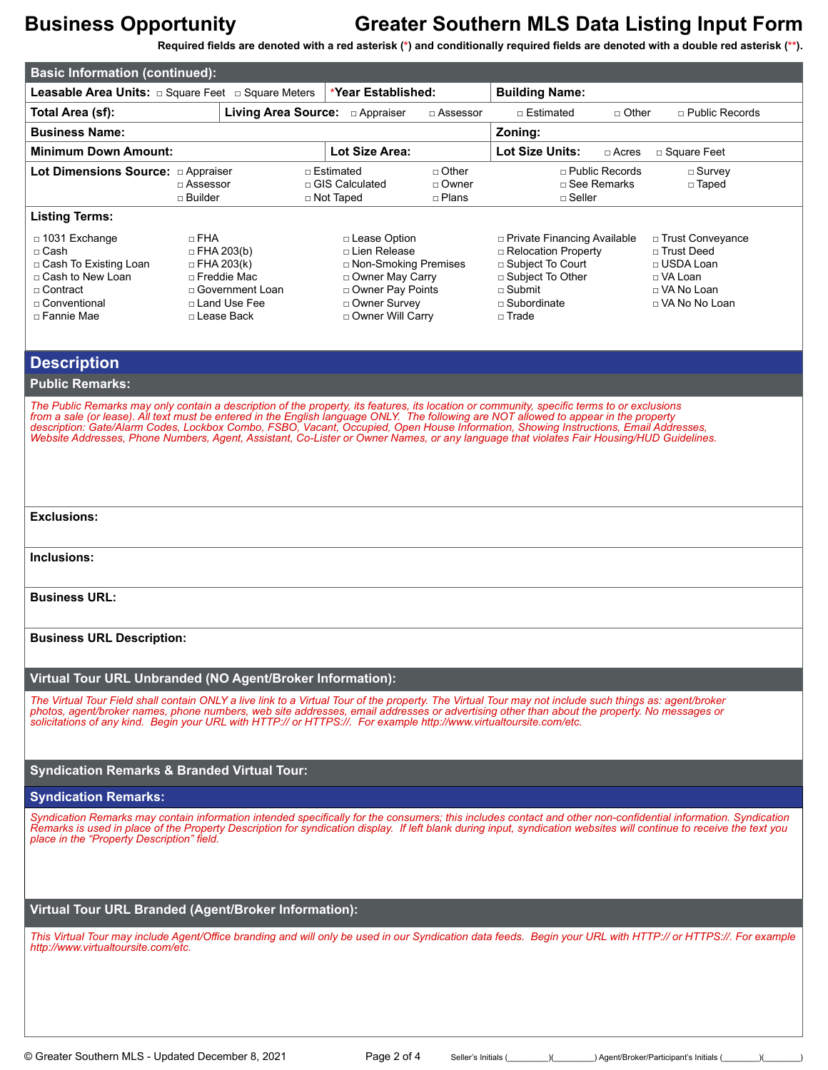**Required fields are denoted with a red asterisk (\*) and conditionally required fields are denoted with a double red asterisk (\*\*).**

| <b>Basic Information (continued):</b>                                                                                                                                                                                                                                                                                                                                                                                                                                                                                                                                     |                                                                                                    |                   |                                                                                                                                               |                                    |                                                                                                                                                                     |                                        |                                                                                                        |
|---------------------------------------------------------------------------------------------------------------------------------------------------------------------------------------------------------------------------------------------------------------------------------------------------------------------------------------------------------------------------------------------------------------------------------------------------------------------------------------------------------------------------------------------------------------------------|----------------------------------------------------------------------------------------------------|-------------------|-----------------------------------------------------------------------------------------------------------------------------------------------|------------------------------------|---------------------------------------------------------------------------------------------------------------------------------------------------------------------|----------------------------------------|--------------------------------------------------------------------------------------------------------|
| <b>Leasable Area Units:</b> $\Box$ Square Feet $\Box$ Square Meters                                                                                                                                                                                                                                                                                                                                                                                                                                                                                                       |                                                                                                    |                   | *Year Established:                                                                                                                            |                                    | <b>Building Name:</b>                                                                                                                                               |                                        |                                                                                                        |
| Total Area (sf):                                                                                                                                                                                                                                                                                                                                                                                                                                                                                                                                                          |                                                                                                    |                   |                                                                                                                                               | □ Assessor                         | □ Estimated                                                                                                                                                         | $\Box$ Other                           | □ Public Records                                                                                       |
| <b>Business Name:</b>                                                                                                                                                                                                                                                                                                                                                                                                                                                                                                                                                     |                                                                                                    |                   |                                                                                                                                               |                                    | Zoning:                                                                                                                                                             |                                        |                                                                                                        |
| <b>Minimum Down Amount:</b>                                                                                                                                                                                                                                                                                                                                                                                                                                                                                                                                               |                                                                                                    |                   | <b>Lot Size Area:</b>                                                                                                                         |                                    | Lot Size Units:                                                                                                                                                     | $\Box$ Acres                           | □ Square Feet                                                                                          |
|                                                                                                                                                                                                                                                                                                                                                                                                                                                                                                                                                                           | □ Assessor<br>□ Builder                                                                            |                   | □ Estimated<br>□ GIS Calculated<br>□ Not Taped                                                                                                | $\Box$ Other<br>□ Owner<br>□ Plans | $\sqcap$ Seller                                                                                                                                                     | $\Box$ Public Records<br>□ See Remarks | $\Box$ Survey<br>□ Taped                                                                               |
| <b>Listing Terms:</b>                                                                                                                                                                                                                                                                                                                                                                                                                                                                                                                                                     |                                                                                                    |                   |                                                                                                                                               |                                    |                                                                                                                                                                     |                                        |                                                                                                        |
| □ 1031 Exchange<br>$\Box$ Cash<br>□ Cash To Existing Loan<br>□ Cash to New Loan<br>$\sqcap$ Contract<br>□ Conventional<br>□ Fannie Mae                                                                                                                                                                                                                                                                                                                                                                                                                                    | □ FHA<br>$\Box$ FHA 203(b)<br>$\Box$ FHA 203(k)<br>□ Freddie Mac<br>□ Land Use Fee<br>□ Lease Back | □ Government Loan | □ Lease Option<br>□ Lien Release<br>□ Non-Smoking Premises<br>□ Owner May Carry<br>□ Owner Pay Points<br>□ Owner Survey<br>□ Owner Will Carry |                                    | □ Private Financing Available<br>□ Relocation Property<br>$\Box$ Subject To Court<br>$\Box$ Subject To Other<br>$\Box$ Submit<br>$\Box$ Subordinate<br>$\Box$ Trade |                                        | □ Trust Conveyance<br>□ Trust Deed<br>□ USDA Loan<br>$\Box$ VA Loan<br>□ VA No Loan<br>□ VA No No Loan |
| <b>Description</b>                                                                                                                                                                                                                                                                                                                                                                                                                                                                                                                                                        |                                                                                                    |                   |                                                                                                                                               |                                    |                                                                                                                                                                     |                                        |                                                                                                        |
| <b>Public Remarks:</b>                                                                                                                                                                                                                                                                                                                                                                                                                                                                                                                                                    |                                                                                                    |                   |                                                                                                                                               |                                    |                                                                                                                                                                     |                                        |                                                                                                        |
| The Public Remarks may only contain a description of the property, its features, its location or community, specific terms to or exclusions<br>from a sale (or lease). All text must be entered in the English language ONLY. The following are NOT allowed to appear in the property<br>description: Gate/Alarm Codes, Lockbox Combo, FSBO, Vacant, Occupied, Open House Information, Showing Instructions, Email Addresses,<br>Website Addresses, Phone Numbers, Agent, Assistant, Co-Lister or Owner Names, or any language that violates Fair Housing/HUD Guidelines. |                                                                                                    |                   |                                                                                                                                               |                                    |                                                                                                                                                                     |                                        |                                                                                                        |
| <b>Exclusions:</b>                                                                                                                                                                                                                                                                                                                                                                                                                                                                                                                                                        |                                                                                                    |                   |                                                                                                                                               |                                    |                                                                                                                                                                     |                                        |                                                                                                        |
| Inclusions:                                                                                                                                                                                                                                                                                                                                                                                                                                                                                                                                                               |                                                                                                    |                   |                                                                                                                                               |                                    |                                                                                                                                                                     |                                        |                                                                                                        |
| <b>Business URL:</b>                                                                                                                                                                                                                                                                                                                                                                                                                                                                                                                                                      |                                                                                                    |                   |                                                                                                                                               |                                    |                                                                                                                                                                     |                                        |                                                                                                        |
| <b>Business URL Description:</b>                                                                                                                                                                                                                                                                                                                                                                                                                                                                                                                                          |                                                                                                    |                   |                                                                                                                                               |                                    |                                                                                                                                                                     |                                        |                                                                                                        |
| Virtual Tour URL Unbranded (NO Agent/Broker Information):                                                                                                                                                                                                                                                                                                                                                                                                                                                                                                                 |                                                                                                    |                   |                                                                                                                                               |                                    |                                                                                                                                                                     |                                        |                                                                                                        |
| The Virtual Tour Field shall contain ONLY a live link to a Virtual Tour of the property. The Virtual Tour may not include such things as: agent/broker<br>photos, agent/broker names, phone numbers, web site addresses, email addresses or advertising other than about the property. No messages or<br>solicitations of any kind. Begin your URL with HTTP:// or HTTPS://. For example http://www.virtualtoursite.com/etc.                                                                                                                                              |                                                                                                    |                   |                                                                                                                                               |                                    |                                                                                                                                                                     |                                        |                                                                                                        |
| <b>Syndication Remarks &amp; Branded Virtual Tour:</b>                                                                                                                                                                                                                                                                                                                                                                                                                                                                                                                    |                                                                                                    |                   |                                                                                                                                               |                                    |                                                                                                                                                                     |                                        |                                                                                                        |
| <b>Syndication Remarks:</b>                                                                                                                                                                                                                                                                                                                                                                                                                                                                                                                                               |                                                                                                    |                   |                                                                                                                                               |                                    |                                                                                                                                                                     |                                        |                                                                                                        |
| Syndication Remarks may contain information intended specifically for the consumers; this includes contact and other non-confidential information. Syndication<br>Remarks is used in place of the Property Description for syndication display. If left blank during input, syndication websites will continue to receive the text you<br>place in the "Property Description" field.                                                                                                                                                                                      |                                                                                                    |                   |                                                                                                                                               |                                    |                                                                                                                                                                     |                                        |                                                                                                        |
| Virtual Tour URL Branded (Agent/Broker Information):                                                                                                                                                                                                                                                                                                                                                                                                                                                                                                                      |                                                                                                    |                   |                                                                                                                                               |                                    |                                                                                                                                                                     |                                        |                                                                                                        |
| This Virtual Tour may include Agent/Office branding and will only be used in our Syndication data feeds. Begin your URL with HTTP:// or HTTPS://. For example<br>http://www.virtualtoursite.com/etc.                                                                                                                                                                                                                                                                                                                                                                      |                                                                                                    |                   |                                                                                                                                               |                                    |                                                                                                                                                                     |                                        |                                                                                                        |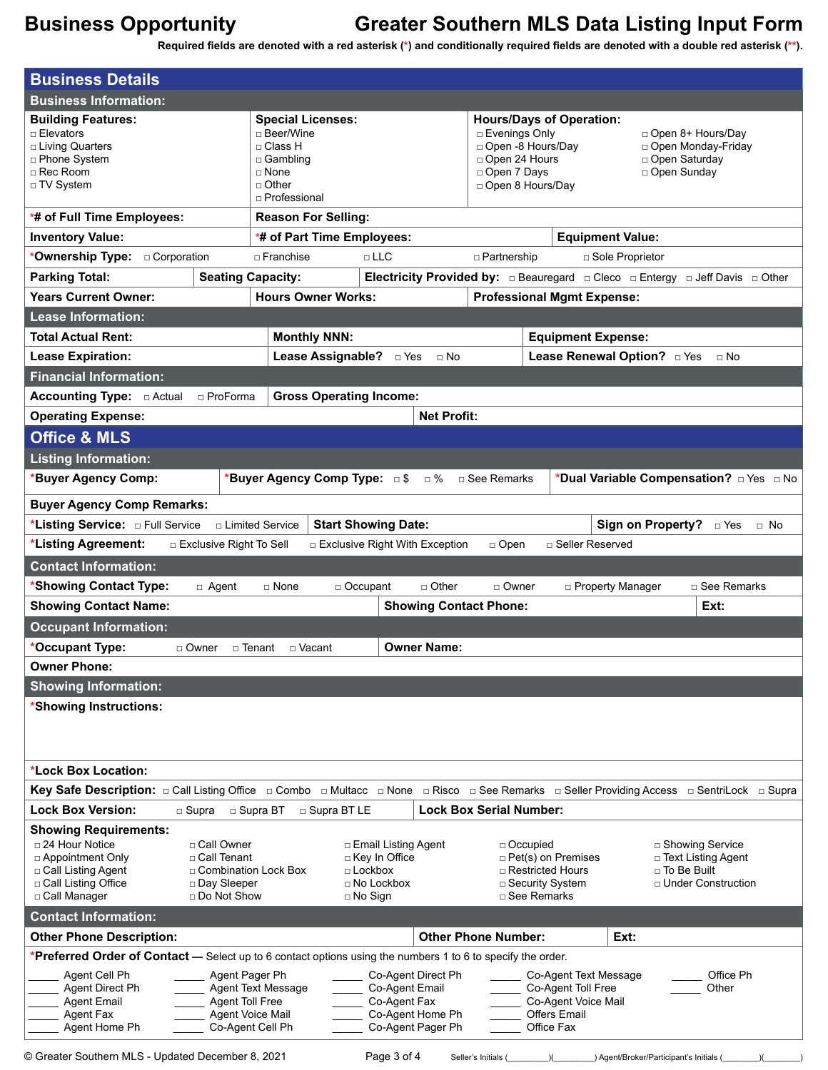**Required fields are denoted with a red asterisk (\*) and conditionally required fields are denoted with a double red asterisk (\*\*).**

| <b>Business Information:</b>                                                                                                                                                                                                                |                                                                                                                |                                                                           |                                                                                                     |                                                                                         |
|---------------------------------------------------------------------------------------------------------------------------------------------------------------------------------------------------------------------------------------------|----------------------------------------------------------------------------------------------------------------|---------------------------------------------------------------------------|-----------------------------------------------------------------------------------------------------|-----------------------------------------------------------------------------------------|
| <b>Building Features:</b><br>□ Elevators<br>□ Living Quarters<br>□ Phone System<br>$\Box$ Rec Room<br>□ TV System                                                                                                                           | <b>Special Licenses:</b><br>□ Beer/Wine<br>□ Class H<br>□ Gambling<br>□ None<br>$\Box$ Other<br>□ Professional | □ Evenings Only<br>□ Open 24 Hours<br>□ Open 7 Days<br>□ Open 8 Hours/Day | <b>Hours/Days of Operation:</b><br>□ Open -8 Hours/Day                                              | □ Open 8+ Hours/Day<br>□ Open Monday-Friday<br>□ Open Saturday<br>□ Open Sunday         |
| *# of Full Time Employees:                                                                                                                                                                                                                  | <b>Reason For Selling:</b>                                                                                     |                                                                           |                                                                                                     |                                                                                         |
| <b>Inventory Value:</b>                                                                                                                                                                                                                     | *# of Part Time Employees:                                                                                     |                                                                           | <b>Equipment Value:</b>                                                                             |                                                                                         |
| *Ownership Type: <b>Deporation</b>                                                                                                                                                                                                          | $\Box$ Franchise<br>$\Box$ LLC                                                                                 | □ Partnership                                                             | □ Sole Proprietor                                                                                   |                                                                                         |
| <b>Parking Total:</b>                                                                                                                                                                                                                       | <b>Seating Capacity:</b>                                                                                       |                                                                           |                                                                                                     |                                                                                         |
| <b>Years Current Owner:</b>                                                                                                                                                                                                                 | <b>Hours Owner Works:</b>                                                                                      |                                                                           | <b>Professional Mgmt Expense:</b>                                                                   |                                                                                         |
| <b>Lease Information:</b>                                                                                                                                                                                                                   |                                                                                                                |                                                                           |                                                                                                     |                                                                                         |
| <b>Total Actual Rent:</b>                                                                                                                                                                                                                   | <b>Monthly NNN:</b>                                                                                            |                                                                           | <b>Equipment Expense:</b>                                                                           |                                                                                         |
| <b>Lease Expiration:</b>                                                                                                                                                                                                                    | Lease Assignable? <b>Dives</b>                                                                                 | $\Box$ No                                                                 | Lease Renewal Option? DYes                                                                          | $\Box$ No                                                                               |
| <b>Financial Information:</b>                                                                                                                                                                                                               |                                                                                                                |                                                                           |                                                                                                     |                                                                                         |
| □ ProForma                                                                                                                                                                                                                                  | <b>Gross Operating Income:</b>                                                                                 |                                                                           |                                                                                                     |                                                                                         |
| <b>Operating Expense:</b>                                                                                                                                                                                                                   |                                                                                                                | <b>Net Profit:</b>                                                        |                                                                                                     |                                                                                         |
| <b>Office &amp; MLS</b>                                                                                                                                                                                                                     |                                                                                                                |                                                                           |                                                                                                     |                                                                                         |
| <b>Listing Information:</b>                                                                                                                                                                                                                 |                                                                                                                |                                                                           |                                                                                                     |                                                                                         |
| *Buyer Agency Comp:                                                                                                                                                                                                                         | *Buyer Agency Comp Type: 5\$ 6%                                                                                | □ See Remarks                                                             |                                                                                                     | *Dual Variable Compensation? DYes D No                                                  |
| <b>Buyer Agency Comp Remarks:</b>                                                                                                                                                                                                           |                                                                                                                |                                                                           |                                                                                                     |                                                                                         |
|                                                                                                                                                                                                                                             | <b>Start Showing Date:</b><br>□ Limited Service                                                                |                                                                           |                                                                                                     | <b>Sign on Property?</b><br>□ Yes<br>$\Box$ No                                          |
| *Listing Agreement:<br><b>Exclusive Right To Sell</b>                                                                                                                                                                                       | □ Exclusive Right With Exception                                                                               | $\Box$ Open                                                               | □ Seller Reserved                                                                                   |                                                                                         |
| <b>Contact Information:</b>                                                                                                                                                                                                                 |                                                                                                                |                                                                           |                                                                                                     |                                                                                         |
| *Showing Contact Type:<br>$\Box$ Agent                                                                                                                                                                                                      | $\Box$ None<br>$\Box$ Occupant                                                                                 | □ Other<br>$\sqcap$ Owner                                                 | □ Property Manager                                                                                  | □ See Remarks                                                                           |
| <b>Showing Contact Name:</b>                                                                                                                                                                                                                |                                                                                                                | <b>Showing Contact Phone:</b>                                             |                                                                                                     | Ext:                                                                                    |
| <b>Occupant Information:</b>                                                                                                                                                                                                                |                                                                                                                |                                                                           |                                                                                                     |                                                                                         |
| *Occupant Type:<br>$\Box$ Owner                                                                                                                                                                                                             | □ Tenant<br>□ Vacant                                                                                           | <b>Owner Name:</b>                                                        |                                                                                                     |                                                                                         |
| <b>Owner Phone:</b>                                                                                                                                                                                                                         |                                                                                                                |                                                                           |                                                                                                     |                                                                                         |
|                                                                                                                                                                                                                                             |                                                                                                                |                                                                           |                                                                                                     |                                                                                         |
|                                                                                                                                                                                                                                             |                                                                                                                |                                                                           |                                                                                                     |                                                                                         |
| <b>Showing Information:</b>                                                                                                                                                                                                                 |                                                                                                                |                                                                           |                                                                                                     |                                                                                         |
| *Showing Instructions:                                                                                                                                                                                                                      |                                                                                                                |                                                                           |                                                                                                     |                                                                                         |
|                                                                                                                                                                                                                                             |                                                                                                                |                                                                           |                                                                                                     |                                                                                         |
|                                                                                                                                                                                                                                             |                                                                                                                |                                                                           |                                                                                                     |                                                                                         |
| *Lock Box Location:                                                                                                                                                                                                                         |                                                                                                                |                                                                           |                                                                                                     |                                                                                         |
| Key Safe Description: □ Call Listing Office □ Combo □ Multacc □ None □ Risco □ See Remarks □ Seller Providing Access □ SentriLock □ Supra<br><b>Lock Box Version:</b>                                                                       |                                                                                                                |                                                                           |                                                                                                     |                                                                                         |
| □ Supra                                                                                                                                                                                                                                     | □ Supra BT<br>□ Supra BT LE                                                                                    | <b>Lock Box Serial Number:</b>                                            |                                                                                                     |                                                                                         |
| <b>Showing Requirements:</b><br>$\Box$ 24 Hour Notice<br>□ Call Owner<br>□ Appointment Only<br>□ Call Tenant<br>□ Call Listing Agent<br>□ Combination Lock Box<br>□ Call Listing Office<br>□ Day Sleeper<br>□ Do Not Show<br>□ Call Manager | □ Email Listing Agent<br>□ Key In Office<br>$\Box$ Lockbox<br>$\Box$ No Lockbox<br>$\Box$ No Sign              |                                                                           | □ Occupied<br>$\Box$ Pet(s) on Premises<br>□ Restricted Hours<br>□ Security System<br>□ See Remarks | □ Showing Service<br>$\Box$ Text Listing Agent<br>□ To Be Built<br>□ Under Construction |
| <b>Contact Information:</b>                                                                                                                                                                                                                 |                                                                                                                |                                                                           |                                                                                                     |                                                                                         |
| <b>Other Phone Description:</b>                                                                                                                                                                                                             |                                                                                                                | <b>Other Phone Number:</b>                                                | Ext:                                                                                                |                                                                                         |
| *Preferred Order of Contact - Select up to 6 contact options using the numbers 1 to 6 to specify the order.                                                                                                                                 |                                                                                                                |                                                                           |                                                                                                     |                                                                                         |
| Agent Cell Ph<br>Agent Pager Ph<br>Agent Direct Ph<br>Agent Toll Free<br><b>Agent Email</b><br>Agent Fax<br>Agent Home Ph                                                                                                                   | Co-Agent Email<br>Agent Text Message<br>Co-Agent Fax<br>Agent Voice Mail<br>Co-Agent Cell Ph                   | Co-Agent Direct Ph<br>Co-Agent Home Ph<br>Co-Agent Pager Ph               | Co-Agent Text Message<br>Co-Agent Toll Free<br>Co-Agent Voice Mail<br>Offers Email<br>Office Fax    | Office Ph<br>Other                                                                      |